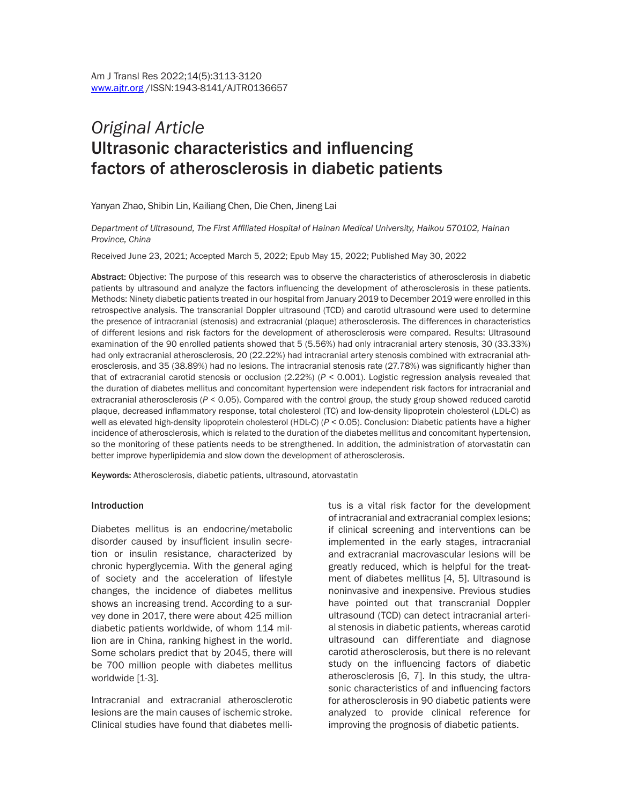# *Original Article* Ultrasonic characteristics and influencing factors of atherosclerosis in diabetic patients

Yanyan Zhao, Shibin Lin, Kailiang Chen, Die Chen, Jineng Lai

*Department of Ultrasound, The First Affiliated Hospital of Hainan Medical University, Haikou 570102, Hainan Province, China*

Received June 23, 2021; Accepted March 5, 2022; Epub May 15, 2022; Published May 30, 2022

Abstract: Objective: The purpose of this research was to observe the characteristics of atherosclerosis in diabetic patients by ultrasound and analyze the factors influencing the development of atherosclerosis in these patients. Methods: Ninety diabetic patients treated in our hospital from January 2019 to December 2019 were enrolled in this retrospective analysis. The transcranial Doppler ultrasound (TCD) and carotid ultrasound were used to determine the presence of intracranial (stenosis) and extracranial (plaque) atherosclerosis. The differences in characteristics of different lesions and risk factors for the development of atherosclerosis were compared. Results: Ultrasound examination of the 90 enrolled patients showed that 5 (5.56%) had only intracranial artery stenosis, 30 (33.33%) had only extracranial atherosclerosis, 20 (22.22%) had intracranial artery stenosis combined with extracranial atherosclerosis, and 35 (38.89%) had no lesions. The intracranial stenosis rate (27.78%) was significantly higher than that of extracranial carotid stenosis or occlusion (2.22%) (*P* < 0.001). Logistic regression analysis revealed that the duration of diabetes mellitus and concomitant hypertension were independent risk factors for intracranial and extracranial atherosclerosis (*P* < 0.05). Compared with the control group, the study group showed reduced carotid plaque, decreased inflammatory response, total cholesterol (TC) and low-density lipoprotein cholesterol (LDL-C) as well as elevated high-density lipoprotein cholesterol (HDL-C) (*P* < 0.05). Conclusion: Diabetic patients have a higher incidence of atherosclerosis, which is related to the duration of the diabetes mellitus and concomitant hypertension, so the monitoring of these patients needs to be strengthened. In addition, the administration of atorvastatin can better improve hyperlipidemia and slow down the development of atherosclerosis.

Keywords: Atherosclerosis, diabetic patients, ultrasound, atorvastatin

#### **Introduction**

Diabetes mellitus is an endocrine/metabolic disorder caused by insufficient insulin secretion or insulin resistance, characterized by chronic hyperglycemia. With the general aging of society and the acceleration of lifestyle changes, the incidence of diabetes mellitus shows an increasing trend. According to a survey done in 2017, there were about 425 million diabetic patients worldwide, of whom 114 million are in China, ranking highest in the world. Some scholars predict that by 2045, there will be 700 million people with diabetes mellitus worldwide [1-3].

Intracranial and extracranial atherosclerotic lesions are the main causes of ischemic stroke. Clinical studies have found that diabetes mellitus is a vital risk factor for the development of intracranial and extracranial complex lesions; if clinical screening and interventions can be implemented in the early stages, intracranial and extracranial macrovascular lesions will be greatly reduced, which is helpful for the treatment of diabetes mellitus [4, 5]. Ultrasound is noninvasive and inexpensive. Previous studies have pointed out that transcranial Doppler ultrasound (TCD) can detect intracranial arterial stenosis in diabetic patients, whereas carotid ultrasound can differentiate and diagnose carotid atherosclerosis, but there is no relevant study on the influencing factors of diabetic atherosclerosis [6, 7]. In this study, the ultrasonic characteristics of and influencing factors for atherosclerosis in 90 diabetic patients were analyzed to provide clinical reference for improving the prognosis of diabetic patients.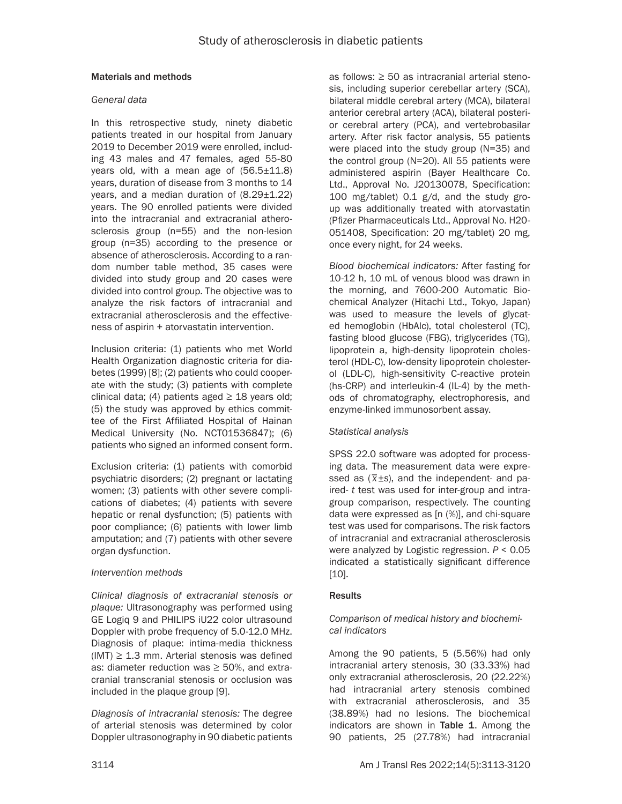# Materials and methods

#### *General data*

In this retrospective study, ninety diabetic patients treated in our hospital from January 2019 to December 2019 were enrolled, including 43 males and 47 females, aged 55-80 years old, with a mean age of  $(56.5 \pm 11.8)$ years, duration of disease from 3 months to 14 years, and a median duration of  $(8.29 \pm 1.22)$ years. The 90 enrolled patients were divided into the intracranial and extracranial atherosclerosis group (n=55) and the non-lesion group (n=35) according to the presence or absence of atherosclerosis. According to a random number table method, 35 cases were divided into study group and 20 cases were divided into control group. The objective was to analyze the risk factors of intracranial and extracranial atherosclerosis and the effectiveness of aspirin + atorvastatin intervention.

Inclusion criteria: (1) patients who met World Health Organization diagnostic criteria for diabetes (1999) [8]; (2) patients who could cooperate with the study; (3) patients with complete clinical data; (4) patients aged  $\geq$  18 years old; (5) the study was approved by ethics committee of the First Affiliated Hospital of Hainan Medical University (No. NCT01536847); (6) patients who signed an informed consent form.

Exclusion criteria: (1) patients with comorbid psychiatric disorders; (2) pregnant or lactating women; (3) patients with other severe complications of diabetes; (4) patients with severe hepatic or renal dysfunction; (5) patients with poor compliance; (6) patients with lower limb amputation; and (7) patients with other severe organ dysfunction.

# *Intervention methods*

*Clinical diagnosis of extracranial stenosis or plaque:* Ultrasonography was performed using GE Logiq 9 and PHILIPS iU22 color ultrasound Doppler with probe frequency of 5.0-12.0 MHz. Diagnosis of plaque: intima-media thickness  $(IMT) \geq 1.3$  mm. Arterial stenosis was defined as: diameter reduction was  $\geq$  50%, and extracranial transcranial stenosis or occlusion was included in the plaque group [9].

*Diagnosis of intracranial stenosis:* The degree of arterial stenosis was determined by color Doppler ultrasonography in 90 diabetic patients as follows: ≥ 50 as intracranial arterial stenosis, including superior cerebellar artery (SCA), bilateral middle cerebral artery (MCA), bilateral anterior cerebral artery (ACA), bilateral posterior cerebral artery (PCA), and vertebrobasilar artery. After risk factor analysis, 55 patients were placed into the study group (N=35) and the control group (N=20). All 55 patients were administered aspirin (Bayer Healthcare Co. Ltd., Approval No. J20130078, Specification: 100 mg/tablet) 0.1 g/d, and the study group was additionally treated with atorvastatin (Pfizer Pharmaceuticals Ltd., Approval No. H20- 051408, Specification: 20 mg/tablet) 20 mg, once every night, for 24 weeks.

*Blood biochemical indicators:* After fasting for 10-12 h, 10 mL of venous blood was drawn in the morning, and 7600-200 Automatic Biochemical Analyzer (Hitachi Ltd., Tokyo, Japan) was used to measure the levels of glycated hemoglobin (HbAlc), total cholesterol (TC), fasting blood glucose (FBG), triglycerides (TG), lipoprotein a, high-density lipoprotein cholesterol (HDL-C), low-density lipoprotein cholesterol (LDL-C), high-sensitivity C-reactive protein (hs-CRP) and interleukin-4 (IL-4) by the methods of chromatography, electrophoresis, and enzyme-linked immunosorbent assay.

# *Statistical analysis*

SPSS 22.0 software was adopted for processing data. The measurement data were expressed as (*\_ x*±*s*), and the independent- and paired- *t* test was used for inter-group and intragroup comparison, respectively. The counting data were expressed as [n (%)], and chi-square test was used for comparisons. The risk factors of intracranial and extracranial atherosclerosis were analyzed by Logistic regression. *P* < 0.05 indicated a statistically significant difference [10].

# **Results**

# *Comparison of medical history and biochemical indicators*

Among the 90 patients, 5 (5.56%) had only intracranial artery stenosis, 30 (33.33%) had only extracranial atherosclerosis, 20 (22.22%) had intracranial artery stenosis combined with extracranial atherosclerosis, and 35 (38.89%) had no lesions. The biochemical indicators are shown in Table 1. Among the 90 patients, 25 (27.78%) had intracranial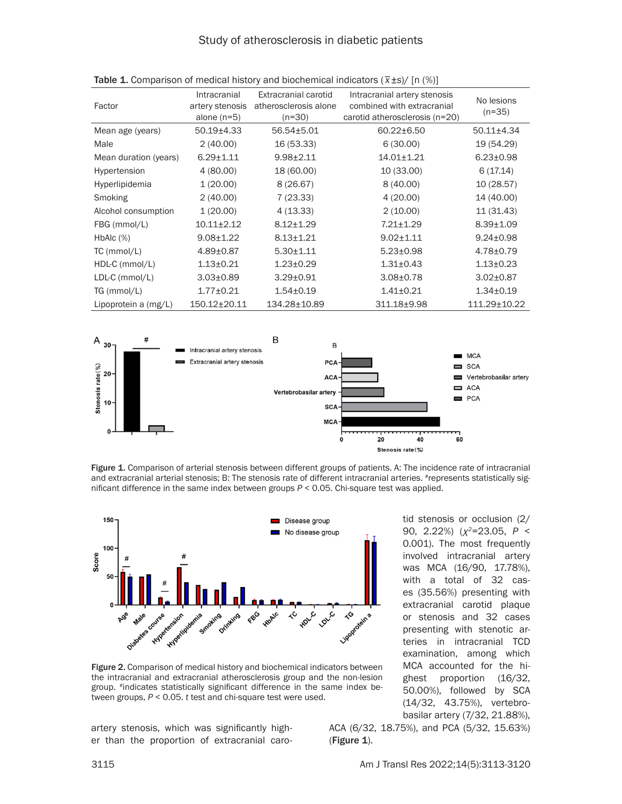# Study of atherosclerosis in diabetic patients

| Factor                | Intracranial<br>artery stenosis<br>alone $(n=5)$ | Extracranial carotid<br>atherosclerosis alone<br>$(n=30)$ | Intracranial artery stenosis<br>combined with extracranial<br>carotid atherosclerosis (n=20) | No lesions<br>$(n=35)$ |
|-----------------------|--------------------------------------------------|-----------------------------------------------------------|----------------------------------------------------------------------------------------------|------------------------|
| Mean age (years)      | $50.19{\pm}4.33$                                 | $56.54 \pm 5.01$                                          | $60.22 \pm 6.50$                                                                             | $50.11 \pm 4.34$       |
| Male                  | 2(40.00)                                         | 16 (53.33)                                                | 6(30.00)                                                                                     | 19 (54.29)             |
| Mean duration (years) | $6.29 \pm 1.11$                                  | $9.98 \pm 2.11$                                           | $14.01 \pm 1.21$                                                                             | $6.23 \pm 0.98$        |
| Hypertension          | 4(80.00)                                         | 18 (60.00)                                                | 10 (33.00)                                                                                   | 6(17.14)               |
| <b>Hyperlipidemia</b> | 1(20.00)                                         | 8(26.67)                                                  | 8(40.00)                                                                                     | 10 (28.57)             |
| Smoking               | 2(40.00)                                         | 7(23.33)                                                  | 4(20.00)                                                                                     | 14 (40.00)             |
| Alcohol consumption   | 1(20.00)                                         | 4(13.33)                                                  | 2(10.00)                                                                                     | 11 (31.43)             |
| FBG (mmol/L)          | $10.11 \pm 2.12$                                 | $8.12 \pm 1.29$                                           | 7.21±1.29                                                                                    | $8.39 \pm 1.09$        |
| $HbAlc$ $(\%)$        | $9.08 \pm 1.22$                                  | $8.13 \pm 1.21$                                           | $9.02 \pm 1.11$                                                                              | $9.24 \pm 0.98$        |
| $TC$ (mmol/L)         | $4.89 \pm 0.87$                                  | $5.30 \pm 1.11$                                           | $5.23 \pm 0.98$                                                                              | $4.78 \pm 0.79$        |
| HDL-C (mmol/L)        | $1.13 \pm 0.21$                                  | $1.23 \pm 0.29$                                           | $1.31 \pm 0.43$                                                                              | $1.13 \pm 0.23$        |
| $LDL-C$ (mmol/ $L$ )  | $3.03 \pm 0.89$                                  | $3.29 \pm 0.91$                                           | $3.08 \pm 0.78$                                                                              | $3.02 \pm 0.87$        |
| TG (mmol/L)           | $1.77 \pm 0.21$                                  | $1.54 \pm 0.19$                                           | $1.41 \pm 0.21$                                                                              | $1.34 \pm 0.19$        |
| Lipoprotein a (mg/L)  | 150.12±20.11                                     | 134.28±10.89                                              | 311.18±9.98                                                                                  | 111.29±10.22           |

| <b>Table 1.</b> Comparison of medical history and biochemical indicators $(\bar{x} \pm s)$ / [n (%)] |  |  |  |
|------------------------------------------------------------------------------------------------------|--|--|--|



Figure 1. Comparison of arterial stenosis between different groups of patients. A: The incidence rate of intracranial and extracranial arterial stenosis; B: The stenosis rate of different intracranial arteries. #represents statistically significant difference in the same index between groups *P* < 0.05. Chi-square test was applied.



Figure 2. Comparison of medical history and biochemical indicators between the intracranial and extracranial atherosclerosis group and the non-lesion group. #indicates statistically significant difference in the same index between groups, *P* < 0.05. *t* test and chi-square test were used.

artery stenosis, which was significantly higher than the proportion of extracranial caro-

tid stenosis or occlusion (2/ 90, 2.22%) (*χ2*=23.05, *P* < 0.001). The most frequently involved intracranial artery was MCA (16/90, 17.78%), with a total of 32 cases (35.56%) presenting with extracranial carotid plaque or stenosis and 32 cases presenting with stenotic arteries in intracranial TCD examination, among which MCA accounted for the highest proportion (16/32, 50.00%), followed by SCA (14/32, 43.75%), vertebrobasilar artery (7/32, 21.88%),

ACA (6/32, 18.75%), and PCA (5/32, 15.63%) (Figure 1).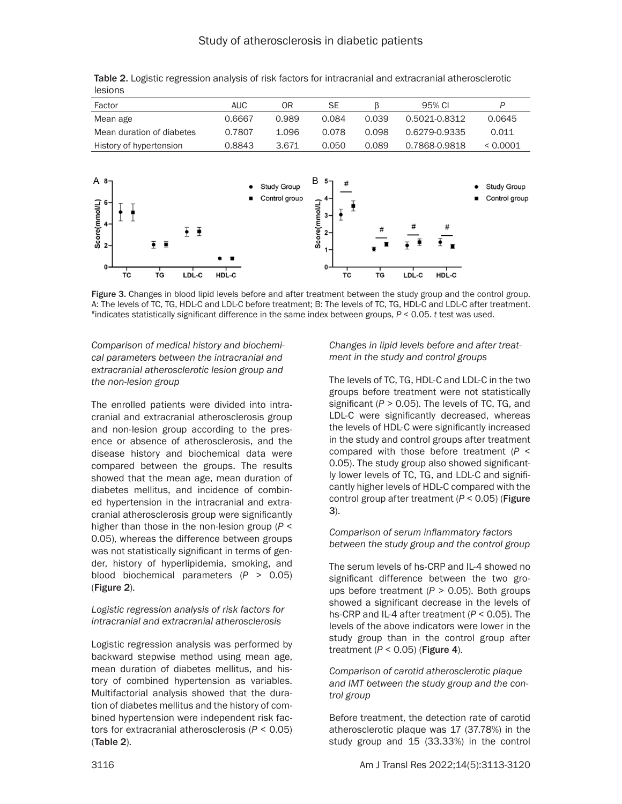| Factor                                                                                                                         | <b>AUC</b> | 0 <sub>R</sub>               | <b>SE</b>                                                                                                                           | β                    | 95% CI                             | P                                      |
|--------------------------------------------------------------------------------------------------------------------------------|------------|------------------------------|-------------------------------------------------------------------------------------------------------------------------------------|----------------------|------------------------------------|----------------------------------------|
| Mean age                                                                                                                       | 0.6667     | 0.989                        | 0.084                                                                                                                               | 0.039                | 0.5021-0.8312                      | 0.0645                                 |
| Mean duration of diabetes                                                                                                      | 0.7807     | 1.096                        | 0.078                                                                                                                               | 0.098                | 0.6279-0.9335                      | 0.011                                  |
| History of hypertension                                                                                                        | 0.8843     | 3.671                        | 0.050                                                                                                                               | 0.089                | 0.7868-0.9818                      | < 0.0001                               |
| A8 <sub>7</sub><br>Score(mmol/L)<br>$\frac{1}{1}$<br>ŦŦ<br>$\overline{\bullet}$ $\overline{\bullet}$<br>0<br>LDL-C<br>TC<br>TG | ■<br>HDL-C | Study Group<br>Control group | B<br>$5-$<br>#<br>$\begin{array}{ccc}\texttt{Score}(m m o l L) & \xrightarrow{L} & \xrightarrow{L} \end{array}$<br>$1 -$<br>0<br>TC | #<br>$\bullet$<br>TG | #<br>#<br>Ξ<br>п<br>LDL-C<br>HDL-C | Study Group<br>٠<br>Control group<br>٠ |

Table 2. Logistic regression analysis of risk factors for intracranial and extracranial atherosclerotic lesions

Figure 3. Changes in blood lipid levels before and after treatment between the study group and the control group. A: The levels of TC, TG, HDL-C and LDL-C before treatment; B: The levels of TC, TG, HDL-C and LDL-C after treatment. #indicates statistically significant difference in the same index between groups, *P* < 0.05. *t* test was used.

*Comparison of medical history and biochemical parameters between the intracranial and extracranial atherosclerotic lesion group and the non-lesion group*

The enrolled patients were divided into intracranial and extracranial atherosclerosis group and non-lesion group according to the presence or absence of atherosclerosis, and the disease history and biochemical data were compared between the groups. The results showed that the mean age, mean duration of diabetes mellitus, and incidence of combined hypertension in the intracranial and extracranial atherosclerosis group were significantly higher than those in the non-lesion group (*P* < 0.05), whereas the difference between groups was not statistically significant in terms of gender, history of hyperlipidemia, smoking, and blood biochemical parameters (*P* > 0.05) (Figure 2).

# *Logistic regression analysis of risk factors for intracranial and extracranial atherosclerosis*

Logistic regression analysis was performed by backward stepwise method using mean age, mean duration of diabetes mellitus, and history of combined hypertension as variables. Multifactorial analysis showed that the duration of diabetes mellitus and the history of combined hypertension were independent risk factors for extracranial atherosclerosis (*P* < 0.05) (Table 2).

*Changes in lipid levels before and after treatment in the study and control groups*

The levels of TC, TG, HDL-C and LDL-C in the two groups before treatment were not statistically significant  $(P > 0.05)$ . The levels of TC, TG, and LDL-C were significantly decreased, whereas the levels of HDL-C were significantly increased in the study and control groups after treatment compared with those before treatment (*P* < 0.05). The study group also showed significantly lower levels of TC, TG, and LDL-C and significantly higher levels of HDL-C compared with the control group after treatment (*P* < 0.05) (Figure 3).

*Comparison of serum inflammatory factors between the study group and the control group*

The serum levels of hs-CRP and IL-4 showed no significant difference between the two groups before treatment (*P* > 0.05). Both groups showed a significant decrease in the levels of hs-CRP and IL-4 after treatment (*P* < 0.05). The levels of the above indicators were lower in the study group than in the control group after treatment  $(P < 0.05)$  (Figure 4).

*Comparison of carotid atherosclerotic plaque and IMT between the study group and the control group*

Before treatment, the detection rate of carotid atherosclerotic plaque was 17 (37.78%) in the study group and 15 (33.33%) in the control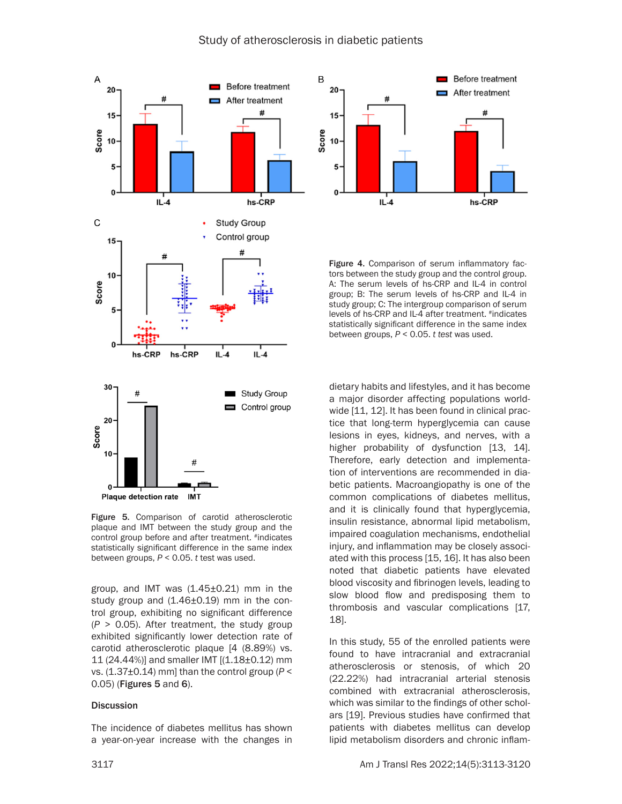

Figure 5. Comparison of carotid atherosclerotic plaque and IMT between the study group and the control group before and after treatment. #indicates statistically significant difference in the same index between groups, *P* < 0.05. *t* test was used.

group, and IMT was  $(1.45\pm0.21)$  mm in the study group and  $(1.46\pm0.19)$  mm in the control group, exhibiting no significant difference (*P* > 0.05). After treatment, the study group exhibited significantly lower detection rate of carotid atherosclerotic plaque [4 (8.89%) vs. 11 (24.44%)] and smaller IMT [(1.18±0.12) mm vs. (1.37±0.14) mm] than the control group (*P* < 0.05) (Figures 5 and 6).

#### **Discussion**

The incidence of diabetes mellitus has shown a year-on-year increase with the changes in



Figure 4. Comparison of serum inflammatory factors between the study group and the control group. A: The serum levels of hs-CRP and IL-4 in control group; B: The serum levels of hs-CRP and IL-4 in study group; C: The intergroup comparison of serum levels of hs-CRP and IL-4 after treatment. #indicates statistically significant difference in the same index between groups, *P* < 0.05. *t test* was used.

dietary habits and lifestyles, and it has become a major disorder affecting populations worldwide [11, 12]. It has been found in clinical practice that long-term hyperglycemia can cause lesions in eyes, kidneys, and nerves, with a higher probability of dysfunction [13, 14]. Therefore, early detection and implementation of interventions are recommended in diabetic patients. Macroangiopathy is one of the common complications of diabetes mellitus, and it is clinically found that hyperglycemia, insulin resistance, abnormal lipid metabolism, impaired coagulation mechanisms, endothelial injury, and inflammation may be closely associated with this process [15, 16]. It has also been noted that diabetic patients have elevated blood viscosity and fibrinogen levels, leading to slow blood flow and predisposing them to thrombosis and vascular complications [17, 18].

In this study, 55 of the enrolled patients were found to have intracranial and extracranial atherosclerosis or stenosis, of which 20 (22.22%) had intracranial arterial stenosis combined with extracranial atherosclerosis, which was similar to the findings of other scholars [19]. Previous studies have confirmed that patients with diabetes mellitus can develop lipid metabolism disorders and chronic inflam-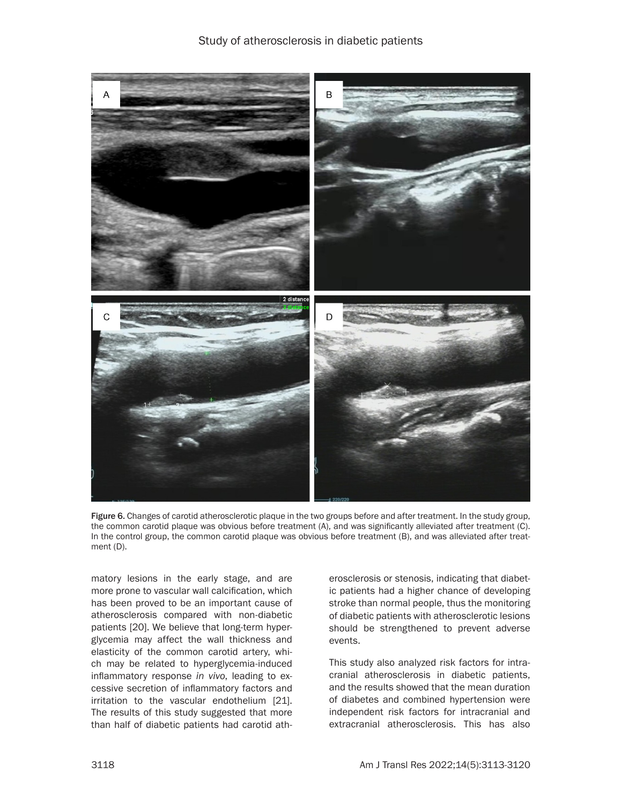

Figure 6. Changes of carotid atherosclerotic plaque in the two groups before and after treatment. In the study group, the common carotid plaque was obvious before treatment (A), and was significantly alleviated after treatment (C). In the control group, the common carotid plaque was obvious before treatment (B), and was alleviated after treatment (D).

matory lesions in the early stage, and are more prone to vascular wall calcification, which has been proved to be an important cause of atherosclerosis compared with non-diabetic patients [20]. We believe that long-term hyperglycemia may affect the wall thickness and elasticity of the common carotid artery, which may be related to hyperglycemia-induced inflammatory response *in vivo*, leading to excessive secretion of inflammatory factors and irritation to the vascular endothelium [21]. The results of this study suggested that more than half of diabetic patients had carotid ath-

erosclerosis or stenosis, indicating that diabetic patients had a higher chance of developing stroke than normal people, thus the monitoring of diabetic patients with atherosclerotic lesions should be strengthened to prevent adverse events.

This study also analyzed risk factors for intracranial atherosclerosis in diabetic patients, and the results showed that the mean duration of diabetes and combined hypertension were independent risk factors for intracranial and extracranial atherosclerosis. This has also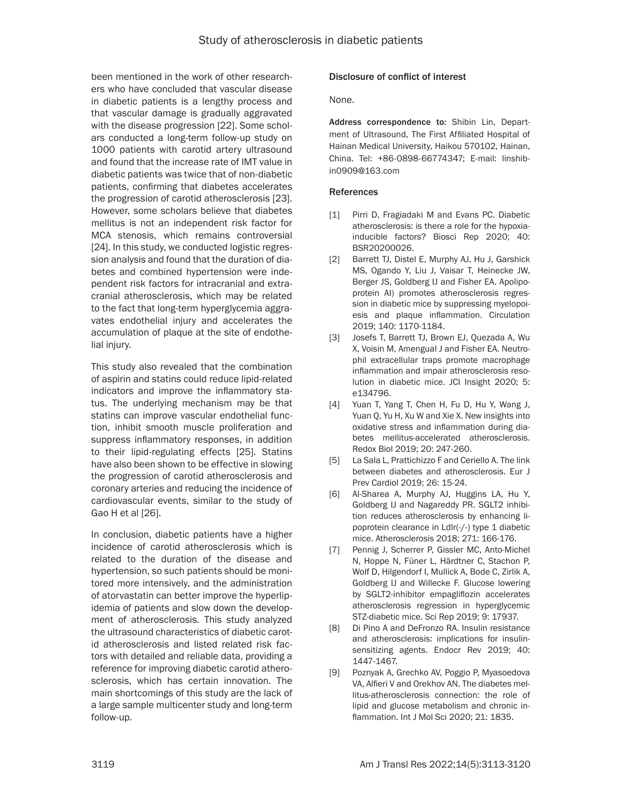been mentioned in the work of other researchers who have concluded that vascular disease in diabetic patients is a lengthy process and that vascular damage is gradually aggravated with the disease progression [22]. Some scholars conducted a long-term follow-up study on 1000 patients with carotid artery ultrasound and found that the increase rate of IMT value in diabetic patients was twice that of non-diabetic patients, confirming that diabetes accelerates the progression of carotid atherosclerosis [23]. However, some scholars believe that diabetes mellitus is not an independent risk factor for MCA stenosis, which remains controversial [24]. In this study, we conducted logistic regression analysis and found that the duration of diabetes and combined hypertension were independent risk factors for intracranial and extracranial atherosclerosis, which may be related to the fact that long-term hyperglycemia aggravates endothelial injury and accelerates the accumulation of plaque at the site of endothelial injury.

This study also revealed that the combination of aspirin and statins could reduce lipid-related indicators and improve the inflammatory status. The underlying mechanism may be that statins can improve vascular endothelial function, inhibit smooth muscle proliferation and suppress inflammatory responses, in addition to their lipid-regulating effects [25]. Statins have also been shown to be effective in slowing the progression of carotid atherosclerosis and coronary arteries and reducing the incidence of cardiovascular events, similar to the study of Gao H et al [26].

In conclusion, diabetic patients have a higher incidence of carotid atherosclerosis which is related to the duration of the disease and hypertension, so such patients should be monitored more intensively, and the administration of atorvastatin can better improve the hyperlipidemia of patients and slow down the development of atherosclerosis. This study analyzed the ultrasound characteristics of diabetic carotid atherosclerosis and listed related risk factors with detailed and reliable data, providing a reference for improving diabetic carotid atherosclerosis, which has certain innovation. The main shortcomings of this study are the lack of a large sample multicenter study and long-term follow-up.

# Disclosure of conflict of interest

None.

Address correspondence to: Shibin Lin, Department of Ultrasound, The First Affiliated Hospital of Hainan Medical University, Haikou 570102, Hainan, China. Tel: +86-0898-66774347; E-mail: [linshib](mailto:linshibin0909@163.com)[in0909@163.com](mailto:linshibin0909@163.com)

#### References

- [1] Pirri D. Fragiadaki M and Evans PC. Diabetic atherosclerosis: is there a role for the hypoxiainducible factors? Biosci Rep 2020; 40: BSR20200026.
- [2] Barrett TJ, Distel E, Murphy AJ, Hu J, Garshick MS, Ogando Y, Liu J, Vaisar T, Heinecke JW, Berger JS, Goldberg IJ and Fisher EA. Apolipoprotein AI) promotes atherosclerosis regression in diabetic mice by suppressing myelopoiesis and plaque inflammation. Circulation 2019; 140: 1170-1184.
- [3] Josefs T, Barrett TJ, Brown EJ, Quezada A, Wu X, Voisin M, Amengual J and Fisher EA. Neutrophil extracellular traps promote macrophage inflammation and impair atherosclerosis resolution in diabetic mice. JCI Insight 2020; 5: e134796.
- [4] Yuan T, Yang T, Chen H, Fu D, Hu Y, Wang J, Yuan Q, Yu H, Xu W and Xie X. New insights into oxidative stress and inflammation during diabetes mellitus-accelerated atherosclerosis. Redox Biol 2019; 20: 247-260.
- [5] La Sala L, Prattichizzo F and Ceriello A. The link between diabetes and atherosclerosis. Eur J Prev Cardiol 2019; 26: 15-24.
- [6] Al-Sharea A, Murphy AJ, Huggins LA, Hu Y, Goldberg IJ and Nagareddy PR. SGLT2 inhibition reduces atherosclerosis by enhancing lipoprotein clearance in Ldlr(-/-) type 1 diabetic mice. Atherosclerosis 2018; 271: 166-176.
- [7] Pennig J, Scherrer P, Gissler MC, Anto-Michel N, Hoppe N, Füner L, Härdtner C, Stachon P, Wolf D, Hilgendorf I, Mullick A, Bode C, Zirlik A, Goldberg IJ and Willecke F. Glucose lowering by SGLT2-inhibitor empagliflozin accelerates atherosclerosis regression in hyperglycemic STZ-diabetic mice. Sci Rep 2019; 9: 17937.
- [8] Di Pino A and DeFronzo RA. Insulin resistance and atherosclerosis: implications for insulinsensitizing agents. Endocr Rev 2019; 40: 1447-1467.
- [9] Poznyak A, Grechko AV, Poggio P, Myasoedova VA, Alfieri V and Orekhov AN. The diabetes mellitus-atherosclerosis connection: the role of lipid and glucose metabolism and chronic inflammation. Int J Mol Sci 2020; 21: 1835.